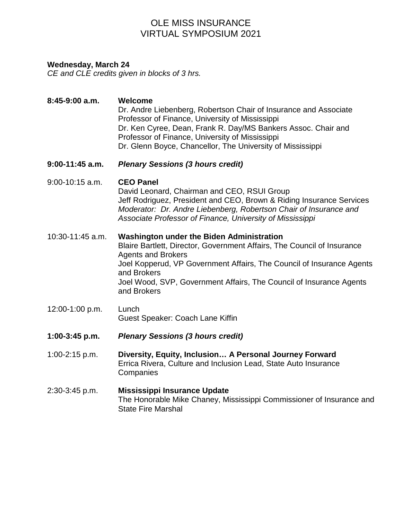# OLE MISS INSURANCE VIRTUAL SYMPOSIUM 2021

### **Wednesday, March 24**

*CE and CLE credits given in blocks of 3 hrs.*

### **8:45-9:00 a.m. Welcome**

Dr. Andre Liebenberg, Robertson Chair of Insurance and Associate Professor of Finance, University of Mississippi Dr. Ken Cyree, Dean, Frank R. Day/MS Bankers Assoc. Chair and Professor of Finance, University of Mississippi Dr. Glenn Boyce, Chancellor, The University of Mississippi

### **9:00-11:45 a.m.** *Plenary Sessions (3 hours credit)*

9:00-10:15 a.m. **CEO Panel**

David Leonard, Chairman and CEO, RSUI Group Jeff Rodriguez, President and CEO, Brown & Riding Insurance Services *Moderator: Dr. Andre Liebenberg, Robertson Chair of Insurance and Associate Professor of Finance, University of Mississippi*

#### 10:30-11:45 a.m. **Washington under the Biden Administration**

Blaire Bartlett, Director, Government Affairs, The Council of Insurance Agents and Brokers Joel Kopperud, VP Government Affairs, The Council of Insurance Agents and Brokers Joel Wood, SVP, Government Affairs, The Council of Insurance Agents and Brokers

- 12:00-1:00 p.m. Lunch Guest Speaker: Coach Lane Kiffin
- **1:00-3:45 p.m.** *Plenary Sessions (3 hours credit)*
- 1:00-2:15 p.m. **Diversity, Equity, Inclusion… A Personal Journey Forward** Errica Rivera, Culture and Inclusion Lead, State Auto Insurance **Companies**
- 2:30-3:45 p.m. **Mississippi Insurance Update**  The Honorable Mike Chaney, Mississippi Commissioner of Insurance and State Fire Marshal